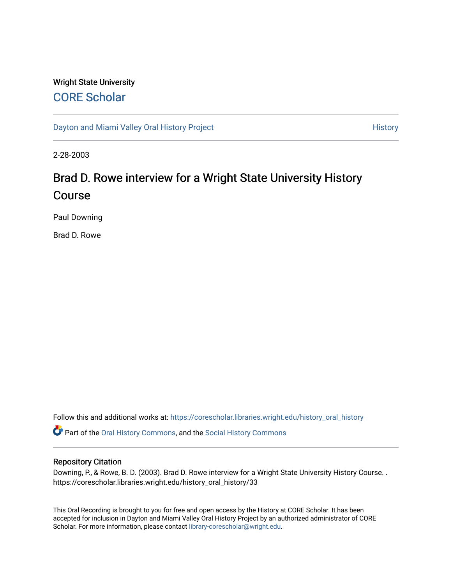# Wright State University [CORE Scholar](https://corescholar.libraries.wright.edu/)

[Dayton and Miami Valley Oral History Project](https://corescholar.libraries.wright.edu/history_oral_history) **History** History

2-28-2003

# Brad D. Rowe interview for a Wright State University History Course

Paul Downing

Brad D. Rowe

Follow this and additional works at: [https://corescholar.libraries.wright.edu/history\\_oral\\_history](https://corescholar.libraries.wright.edu/history_oral_history?utm_source=corescholar.libraries.wright.edu%2Fhistory_oral_history%2F33&utm_medium=PDF&utm_campaign=PDFCoverPages) 

Part of the [Oral History Commons](http://network.bepress.com/hgg/discipline/1195?utm_source=corescholar.libraries.wright.edu%2Fhistory_oral_history%2F33&utm_medium=PDF&utm_campaign=PDFCoverPages), and the [Social History Commons](http://network.bepress.com/hgg/discipline/506?utm_source=corescholar.libraries.wright.edu%2Fhistory_oral_history%2F33&utm_medium=PDF&utm_campaign=PDFCoverPages)

### Repository Citation

Downing, P., & Rowe, B. D. (2003). Brad D. Rowe interview for a Wright State University History Course. . https://corescholar.libraries.wright.edu/history\_oral\_history/33

This Oral Recording is brought to you for free and open access by the History at CORE Scholar. It has been accepted for inclusion in Dayton and Miami Valley Oral History Project by an authorized administrator of CORE Scholar. For more information, please contact [library-corescholar@wright.edu](mailto:library-corescholar@wright.edu).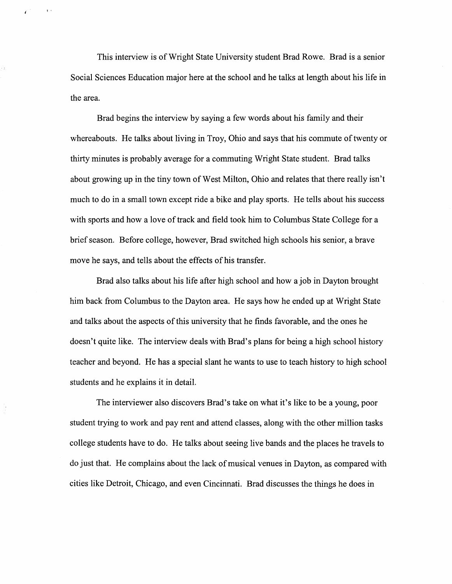This interview is ofWright State University student Brad Rowe. Brad is a senior Social Sciences Education major here at the school and he talks at length about his life in the area.

 $\bar{\chi}$  .

Brad begins the interview by saying a few words about his family and their whereabouts. He talks about living in Troy, Ohio and says that his commute of twenty or thirty minutes is probably average for a commuting Wright State student. Brad talks about growing up in the tiny town of West Milton, Ohio and relates that there really isn't much to do in a small town except ride a bike and play sports. He tells about his success with sports and how a love of track and field took him to Columbus State College for a brief season. Before college, however, Brad switched high schools his senior, a brave move he says, and tells about the effects of his transfer.

Brad also talks about his life after high school and how a job in Dayton brought him back from Columbus to the Dayton area. He says how he ended up at Wright State and talks about the aspects of this university that he finds favorable, and the ones he doesn't quite like. The interview deals with Brad's plans for being a high school history teacher and beyond. He has a special slant he wants to use to teach history to high school students and he explains it in detail.

The interviewer also discovers Brad's take on what it's like to be a young, poor student trying to work and pay rent and attend classes, along with the other million tasks college students have to do. He talks about seeing live bands and the places he travels to do just that. He complains about the lack ofmusical venues in Dayton, as compared with cities like Detroit, Chicago, and even Cincinnati. Brad discusses the things he does in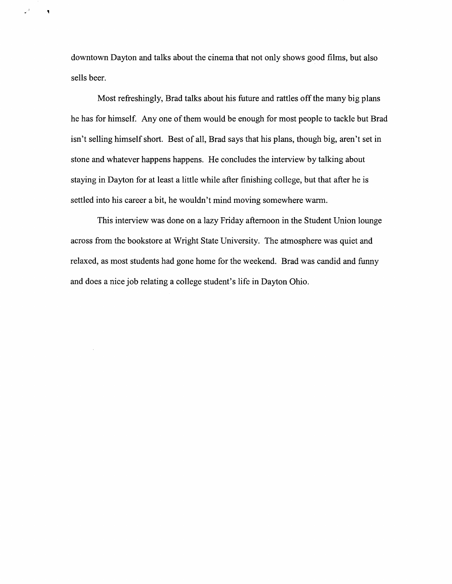downtown Dayton and talks about the cinema that not only shows good films, but also sells beer.

 $\bar{\mathbf{v}}$ 

 $\omega^{(t)}$ 

Most refreshingly, Brad talks about his future and rattles off the many big plans he has for himself. Anyone of them would be enough for most people to tackle but Brad isn't selling himself short. Best of all, Brad says that his plans, though big, aren't set in stone and whatever happens happens. He concludes the interview by talking about staying in Dayton for at least a little while after finishing college, but that after he is settled into his career a bit, he wouldn't mind moving somewhere warm.

This interview was done on a lazy Friday afternoon in the Student Union lounge across from the bookstore at Wright State University. The atmosphere was quiet and relaxed, as most students had gone home for the weekend. Brad was candid and funny and does a nice job relating a college student's life in Dayton Ohio.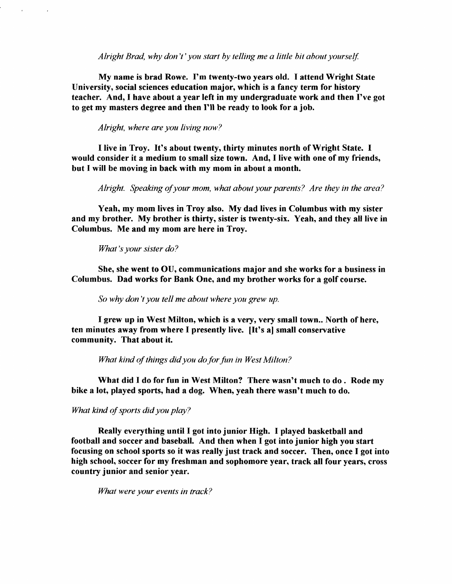*Alright Brad, why don't' you start by telling me a little bit about yourself.* 

My name is brad Rowe. I'm twenty-two years old. I attend Wright State University, social sciences education major, which is a fancy term for history teacher. And, I have about a year left in my undergraduate work and then I've got to get my masters degree and then I'll be ready to look for a job.

*Alright, where are you living now?* 

I live in Troy. It's about twenty, thirty minutes north of Wright State. I would consider it a medium to small size town. And, I live with one of my friends, but I will be moving in back with my mom in about a month.

*Alright. Speaking ofyour mom, what about your parents? Are they in the area?* 

Yeah, my mom lives in Troy also. My dad lives in Columbus with my sister and my brother. My brother is thirty, sister is twenty-six. Yeah, and they all live in Columbus. Me and my mom are here in Troy.

*What's your sister do?* 

She, she went to OU, communications major and she works for a business in Columbus. Dad works for Bank One, and my brother works for a golf course.

*So why don't you tell me about where you grew up.* 

I grew up in West Milton, which is a very, very small town.. North of here, ten minutes away from where I presently live. [It's a] small conservative community. That about it.

*What kind ofthings didyou do for fun in West Milton?* 

What did I do for fun in West Milton? There wasn't much to do. Rode my bike a lot, played sports, had a dog. When, yeah there wasn't much to do.

*What kind of sports did you play?* 

Really everything until I got into junior High. I played basketball and football and soccer and baseball. And then when I got into junior high you start focusing on school sports so it was really just track and soccer. Then, once I got into high school, soccer for my freshman and sophomore year, track all four years, cross country junior and senior year.

*What were your events in track?*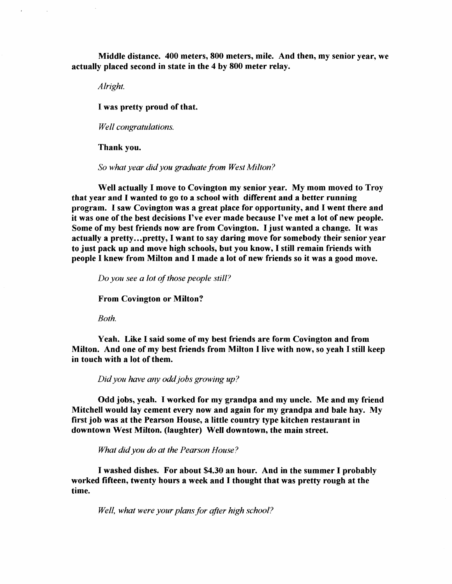Middle distance. 400 meters, 800 meters, mile. And then, my senior year, we actually placed second in state in the 4 by 800 meter relay.

*Alright.* 

I was pretty proud of that.

*Well congratulations.* 

Thank you.

*So what year did you graduate from West Milton?* 

Well actually I move to Covington my senior year. My mom moved to Troy that year and I wanted to go to a school with different and a better running program. I saw Covington was a great place for opportunity, and I went there and it was one of the best decisions I've ever made because I've met a lot of new people. Some of my best friends now are from Covington. I just wanted a change. It was actually a pretty...pretty, I want to say daring move for somebody their senior year to just pack up and move high schools, but you know, I still remain friends with people I knew from Milton and I made a lot of new friends so it was a good move.

*Do you see a lot of those people still?* 

From Covington or Milton?

*Both.* 

Yeah. Like I said some of my best friends are form Covington and from Milton. And one of my best friends from Milton I live with now, so yeah I still keep in touch with a lot of them.

*Didyou have any oddjobs growing up?* 

Odd jobs, yeah. I worked for my grandpa and my uncle. Me and my friend Mitchell would lay cement every now and again for my grandpa and bale hay. My first job was at the Pearson House, a little country type kitchen restaurant in downtown West Milton. (laughter) Well downtown, the main street.

*What did you do at the Pearson House?* 

I washed dishes. For about \$4.30 an hour. And in the summer I probably worked fifteen, twenty hours a week and I thought that was pretty rough at the time.

*Well, what were your plansfor after high school?*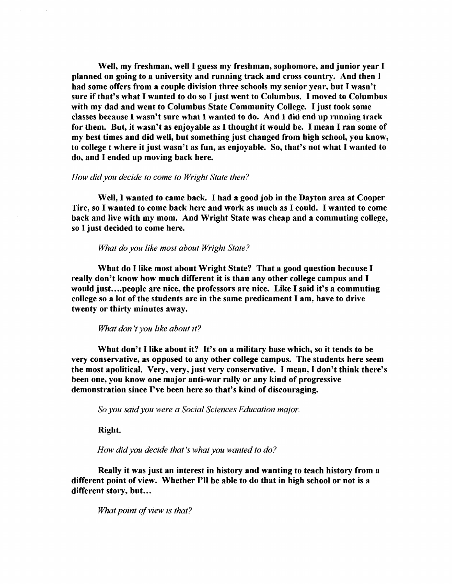Well, my freshman, well I guess my freshman, sophomore, and junior year I planned on going to a university and running track and cross country. And then I had some offers from a couple division three schools my senior year, but I wasn't sure if that's what I wanted to do so I just went to Columbus. I moved to Columbus with my dad and went to Columbus State Community College. I just took some classes because I wasn't sure what I wanted to do. And I did end up running track for them. But, it wasn't as enjoyable as I thought it would be. I mean I ran some of my best times and did well, but something just changed from high school, you know, to college t where it just wasn't as fun, as enjoyable. So, that's not what I wanted to do, and I ended up moving back here.

#### *How didyou decide to come to Wright State then?*

Well, I wanted to came back. I had a good job in the Dayton area at Cooper Tire, so I wanted to come back here and work as much as I could. I wanted to come back and live with my mom. And Wright State was cheap and a commuting college, so I just decided to come here.

#### *What do you like most about Wright State?*

What do I like most about Wright State? That a good question because I really don't know how much different it is than any other college campus and I would just....people are nice, the professors are nice. Like I said it's a commuting college so a lot of the students are in the same predicament I am, have to drive twenty or thirty minutes away.

*What don't you like about it?* 

What don't I like about it? It's on a military base which, so it tends to be very conservative, as opposed to any other college campus. The students here seem the most apolitical. Very, very, just very conservative. I mean, I don't think there's been one, you know one major anti-war rally or any kind of progressive demonstration since I've been here so that's kind of discouraging.

*So you saidyou were a Social Sciences Education major.* 

Right.

*How didyou decide that's what you wanted to do?* 

Really it was just an interest in history and wanting to teach history from a different point of view. Whether I'll be able to do that in high school or not is a different story, but...

*What point of view is that?*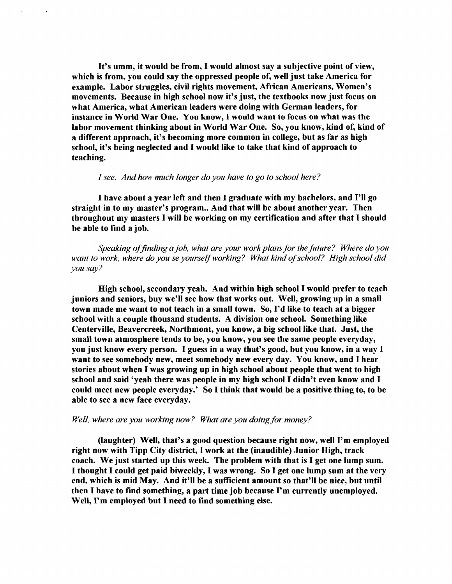It's umm, it would be from, I would almost say a subjective point of view, which is from, you could say the oppressed people of, well just take America for example. Labor struggles, civil rights movement, African Americans, Women's movements. Because in high school now it's just, the textbooks now just focus on what America, what American leaders were doing with German leaders, for instance in World War One. You know, I would want to focus on what was the labor movement thinking about in World War One. So, you know, kind of, kind of a different approach, it's becoming more common in college, but as far as high school, it's being neglected and I would like to take that kind of approach to teaching.

#### *1 see. Andhow much longer do you have to go to school here?*

I have about a year left and then I graduate with my bachelors, and I'll go straight in to my master's program.. And that will be about another year. Then throughout my masters I will be working on my certification and after that I should be able to find a job.

*Speaking offinding a job, what are your work plans for the future? Where do you*  want to work, where do you se yourself working? What kind of school? High school did *you say?* 

High school, secondary yeah. And within high school I would prefer to teach juniors and seniors, buy we'll see how that works out. Well, growing up in a small town made me want to not teach in a small town. So, I'd like to teach at a bigger school with a couple thousand students. A division one school. Something like Centerville, Beavercreek, Northmont, you know, a big school like that. Just, the small town atmosphere tends to be, you know, you see the same people everyday, you just know every person. I guess in a way that's good, but you know, in a way I want to see somebody new, meet somebody new every day. You know, and I hear stories about when I was growing up in high school about people that went to high school and said 'yeah there was people in my high school I didn't even know and I could meet new people everyday.' So I think that would be a positive thing to, to be able to see a new face everyday.

#### *Well, where are you working now? What are you doing for money?*

(laughter) Well, that's a good question because right now, well I'm employed right now with Tipp City district, I work at the (inaudible) Junior High, track coach. We just started up this week. The problem with that is I get one lump sum. I thought I could get paid biweekly, I was wrong. So I get one lump sum at the very end, which is mid May. And it'll be a sufficient amount so that'll be nice, but until then I have to find something, a part time job because I'm currently unemployed. Well, I'm employed but I need to find something else.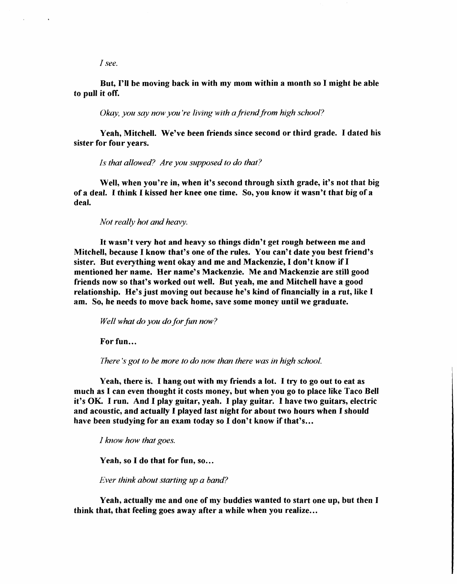*I see.* 

## But, I'll be moving back in with my mom within a month so I might be able to pull it ofT.

*Okay, you say now you're living with a friend from high school?* 

Yeah, Mitchell. We've been friends since second or third grade. I dated his sister for four years.

*Is that allowed? Are you supposed to do that?* 

Well, when you're in, when it's second through sixth grade, it's not that big of a deal. I think I kissed her knee one time. So, you know it wasn't that big of a deal.

*Not really hot and heavy.* 

It wasn't very hot and heavy so things didn't get rough between me and Mitchell, because I know that's one of the rules. You can't date you best friend's sister. But everything went okay and me and Mackenzie, I don't know if I mentioned her name. Her name's Mackenzie. Me and Mackenzie are still good friends now so that's worked out well. But yeah, me and Mitchell have a good relationship. He's just moving out because he's kind of financially in a rut, like I am. So, he needs to move back home, save some money until we graduate.

*Well what do you do for fun now?* 

For fun...

*There's got to be more to do now than there was in high school.* 

Yeah, there is. I hang out with my friends a lot. I try to go out to eat as much as I can even thought it costs money, but when you go to place like Taco Bell it's OK. I run. And I play guitar, yeah. I play guitar. I have two guitars, electric and acoustic, and actually I played last night for about two hours when I should have been studying for an exam today so I don't know if that's...

*I know how that goes.* 

Yeah, so I do that for fun, so...

*Ever think about starting up a band?* 

Yeah, actually me and one of my buddies wanted to start one up, but then I think that, that feeling goes away after a while when you realize...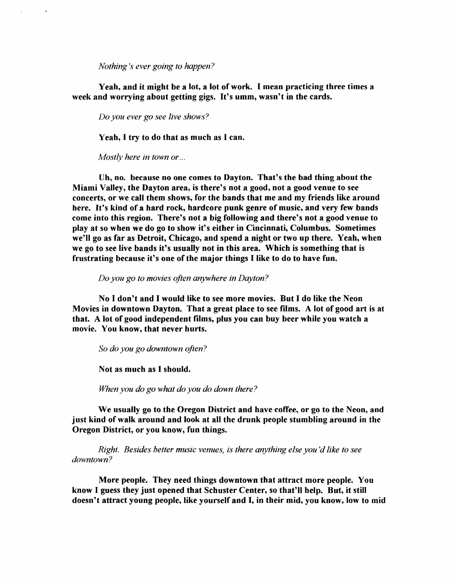*Nothing's ever going to happen?* 

Yeah, and it might be a lot, a lot of work. I mean practicing three times a week and worrying about getting gigs. It's umm, wasn't in the cards.

*Do you ever go see live shows?* 

Yeah, I try to do that as much as I can.

*Mostly here in town or ...* 

Vh, no. because no one comes to Dayton. That's the bad thing about the Miami Valley, the Dayton area, is there's not a good, not a good venue to see concerts, or we call them shows, for the bands that me and my friends like around here. It's kind of a hard rock, hardcore punk genre of music, and very few bands come into this region. There's not a big following and there's not a good venue to play at so when we do go to show it's either in Cincinnati, Columbus. Sometimes we'll go as far as Detroit, Chicago, and spend a night or two up there. Yeah, when we go to see live bands it's usually not in this area. Which is something that is frustrating because it's one of the major things I like to do to have fun.

*Do you go to movies often anywhere in Dayton?* 

No I don't and I would like to see more movies. But I do like the Neon Movies in downtown Dayton. That a great place to see films. A lot of good art is at that. A lot of good independent films, plus you can buy beer while you watch a movie. You know, that never hurts.

*So do you go downtown often?* 

Not as much as I should.

*When you do go what do you do down there?* 

We usually go to the Oregon District and have coffee, or go to the Neon, and just kind of walk around and look at all the drunk people stumbling around in the Oregon District, or you know, fun things.

*Right. Besides better music venues, is there anything else you'd like to see downtown?* 

More people. They need things downtown that attract more people. You know I guess they just opened that Schuster Center, so that'll help. But, it still doesn't attract young people, like yourself and I, in their mid, you know, low to mid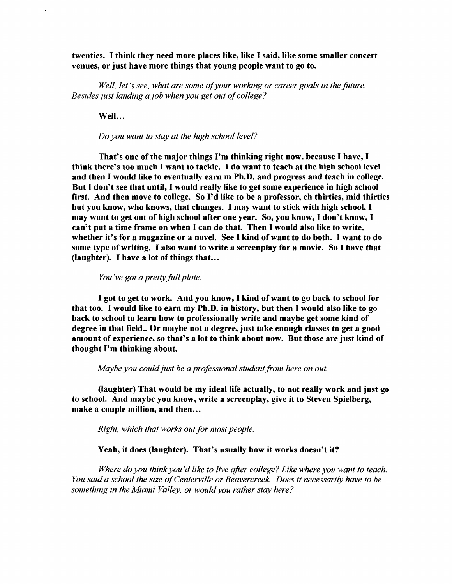twenties. I think they need more places like, like I said, like some smaller concert venues, or just have more things that young people want to go to.

*Well, let's see, what are some ofyour working or career goals in the future. Besides just landing a job when you get out of college?* 

Well...

*Do you want to stay at the high school level?* 

That's one of the major things I'm thinking right now, because I have, I think there's too much I want to tackle. I do want to teach at the high school level and then I would like to eventually earn m Ph.D. and progress and teach in college. But I don't see that until, I would really like to get some experience in high school first. And then move to college. So I'd like to be a professor, eh thirties, mid thirties but you know, who knows, that changes. I may want to stick with high school, I may want to get out of high school after one year. So, you know, I don't know, I can't put a time frame on when I can do that. Then I would also like to write, whether it's for a magazine or a novel. See I kind of want to do both. I want to do some type of writing. I also want to write a screenplay for a movie. So I have that (laughter). I have a lot of things that...

*You've got a pretty full plate.* 

I got to get to work. And you know, I kind of want to go back to school for that too. I would like to earn my Ph.D. in history, but then I would also like to go back to school to learn how to professionally write and maybe get some kind of degree in that field.. Or maybe not a degree, just take enough classes to get a good amount of experience, so that's a lot to think about now. But those are just kind of thought I'm thinking about.

*Maybe you could just be a professional student from here on out.* 

(laughter) That would be my ideal life actually, to not really work and just go to school. And maybe you know, write a screenplay, give it to Steven Spielberg, make a couple million, and then...

*Right, which that works out for most people.* 

#### Yeah, it does (laughter). That's usually how it works doesn't it?

*Where do you think you'd like to live after college? Like where you want to teach. You said a school the size ofCenterville or Beavercreek. Does it necessarily have to be something in the Miami Valley, or would you rather stay here?*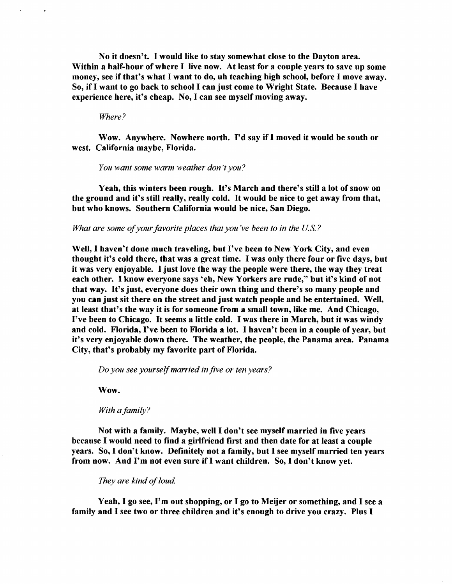No it doesn't. I would like to stay somewhat close to the Dayton area. Within a half-hour of where I live now. At least for a couple years to save up some money, see if that's what I want to do, uh teaching high school, before I move away. So, if I want to go back to school I can just come to Wright State. Because I have experience here, it's cheap. No, I can see myself moving away.

*Where?* 

Wow. Anywhere. Nowhere north. I'd say if I moved it would be south or west. California maybe, Florida.

*You want some warm weather don't you?* 

Yeah, this winters been rough. It's March and there's still a lot of snow on the ground and it's still really, really cold. It would be nice to get away from that, but who knows. Southern California would be nice, San Diego.

*What are some of your favorite places that you've been to in the U.S.?* 

Well, I haven't done much traveling, but I've been to New York City, and even thought it's cold there, that was a great time. I was only there four or five days, but it was very enjoyable. I just love the way the people were there, the way they treat each other. I know everyone says 'eh, New Yorkers are rude," but it's kind of not that way. It's just, everyone does their own thing and there's so many people and you can just sit there on the street and just watch people and be entertained. Well, at least that's the way it is for someone from a small town, like me. And Chicago, I've been to Chicago. It seems a little cold. I was there in March, but it was windy and cold. Florida, I've been to Florida a lot. I haven't been in a couple of year, but it's very enjoyable down there. The weather, the people, the Panama area. Panama City, that's probably my favorite part of Florida.

*Do you see yourselfmarried infive or ten years?* 

Wow.

*With a family?* 

Not with a family. Maybe, well I don't see myself married in five years because I would need to find a girlfriend first and then date for at least a couple years. So, I don't know. Definitely not a family, but I see myself married ten years from now. And I'm not even sure if I want children. So, I don't know yet.

They are kind of loud.

Yeah, I go see, I'm out shopping, or I go to Meijer or something, and I see a family and I see two or three children and it's enough to drive you crazy. Plus I